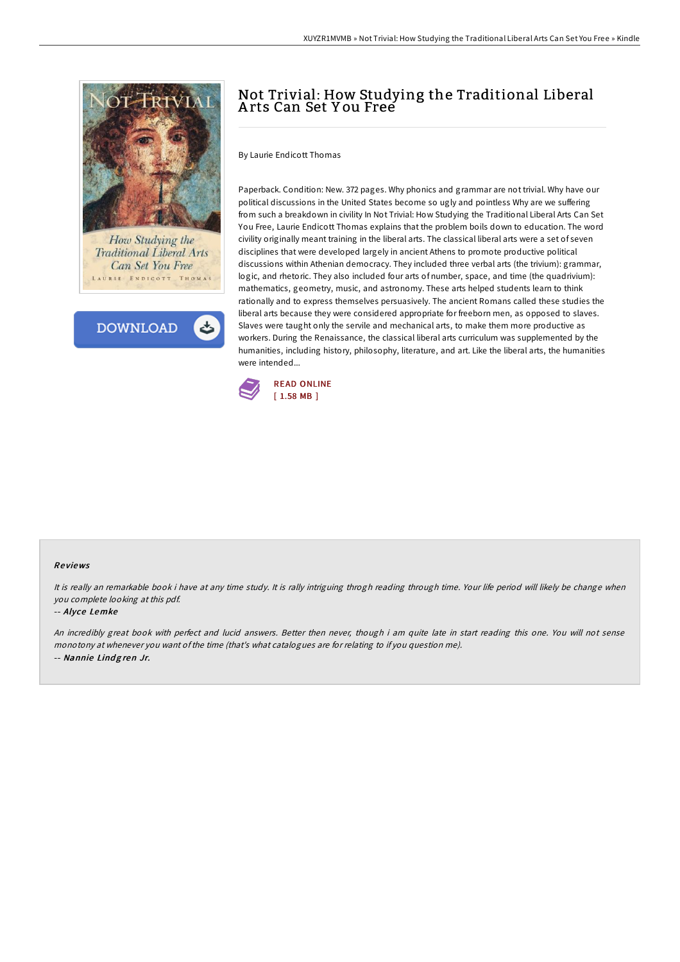

How Studying the **Traditional Liberal Arts Can Set You Free** LAURIE ENDICOTT THOMAS

**DOWNLOAD** 

# Not Trivial: How Studying the Traditional Liberal A rts Can Set Y ou Free

By Laurie Endicott Thomas

Paperback. Condition: New. 372 pages. Why phonics and grammar are not trivial. Why have our political discussions in the United States become so ugly and pointless Why are we suffering from such a breakdown in civility In Not Trivial: How Studying the Traditional Liberal Arts Can Set You Free, Laurie Endicott Thomas explains that the problem boils down to education. The word civility originally meant training in the liberal arts. The classical liberal arts were a set of seven disciplines that were developed largely in ancient Athens to promote productive political discussions within Athenian democracy. They included three verbal arts (the trivium): grammar, logic, and rhetoric. They also included four arts of number, space, and time (the quadrivium): mathematics, geometry, music, and astronomy. These arts helped students learn to think rationally and to express themselves persuasively. The ancient Romans called these studies the liberal arts because they were considered appropriate for freeborn men, as opposed to slaves. Slaves were taught only the servile and mechanical arts, to make them more productive as workers. During the Renaissance, the classical liberal arts curriculum was supplemented by the humanities, including history, philosophy, literature, and art. Like the liberal arts, the humanities were intended...



#### Re views

It is really an remarkable book i have at any time study. It is rally intriguing throgh reading through time. Your life period will likely be change when you complete looking at this pdf.

#### -- Alyce Lemke

An incredibly great book with perfect and lucid answers. Better then never, though i am quite late in start reading this one. You will not sense monotony at whenever you want ofthe time (that's what catalogues are for relating to if you question me). -- Nannie Lindgren Jr.